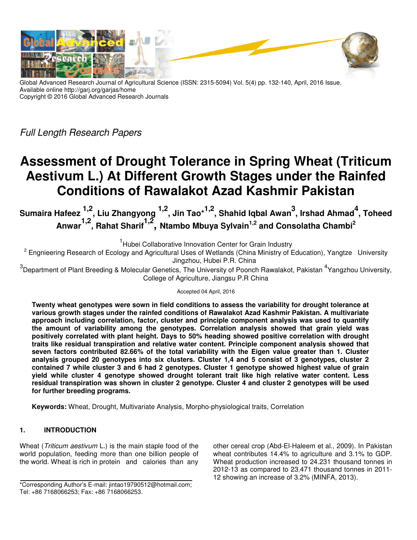

Global Advanced Research Journal of Agricultural Science (ISSN: 2315-5094) Vol. 5(4) pp. 132-140, April, 2016 Issue. Available online http://garj.org/garjas/home Copyright © 2016 Global Advanced Research Journals

Full Length Research Papers

# **Assessment of Drought Tolerance in Spring Wheat (Triticum Aestivum L.) At Different Growth Stages under the Rainfed Conditions of Rawalakot Azad Kashmir Pakistan**

**Sumaira Hafeez 1,2, Liu Zhangyong 1,2, Jin Tao\*1,2, Shahid Iqbal Awan<sup>3</sup> , Irshad Ahmad<sup>4</sup> , Toheed Anwar1,2, Rahat Sharif1,2 , Ntambo Mbuya Sylvain1,2 and Consolatha Chambi<sup>2</sup>**

<sup>1</sup> Hubei Collaborative Innovation Center for Grain Industry

<sup>2</sup> Engnieering Research of Ecology and Agricultural Uses of Wetlands (China Ministry of Education), Yangtze University Jingzhou, Hubei P.R. China

<sup>3</sup>Department of Plant Breeding & Molecular Genetics, The University of Poonch Rawalakot, Pakistan <sup>4</sup>Yangzhou University, College of Agriculture, Jiangsu P.R China

Accepted 04 April, 2016

**Twenty wheat genotypes were sown in field conditions to assess the variability for drought tolerance at various growth stages under the rainfed conditions of Rawalakot Azad Kashmir Pakistan. A multivariate approach including correlation, factor, cluster and principle component analysis was used to quantify the amount of variability among the genotypes. Correlation analysis showed that grain yield was positively correlated with plant height. Days to 50% heading showed positive correlation with drought traits like residual transpiration and relative water content. Principle component analysis showed that seven factors contributed 82.66% of the total variability with the Eigen value greater than 1. Cluster analysis grouped 20 genotypes into six clusters. Cluster 1,4 and 5 consist of 3 genotypes, cluster 2 contained 7 while cluster 3 and 6 had 2 genotypes. Cluster 1 genotype showed highest value of grain yield while cluster 4 genotype showed drought tolerant trait like high relative water content. Less residual transpiration was shown in cluster 2 genotype. Cluster 4 and cluster 2 genotypes will be used for further breeding programs.** 

**Keywords:** Wheat, Drought, Multivariate Analysis, Morpho-physiological traits, Correlation

# **1. INTRODUCTION**

Wheat (Triticum aestivum L.) is the main staple food of the world population, feeding more than one billion people of the world. Wheat is rich in protein and calories than any other cereal crop (Abd-El-Haleem et al., 2009). In Pakistan wheat contributes 14.4% to agriculture and 3.1% to GDP. Wheat production increased to 24.231 thousand tonnes in 2012-13 as compared to 23.471 thousand tonnes in 2011- 12 showing an increase of 3.2% (MINFA, 2013).

<sup>\*</sup>Corresponding Author's E-mail: jintao19790512@hotmail.com; Tel: +86 7168066253; Fax: +86 7168066253.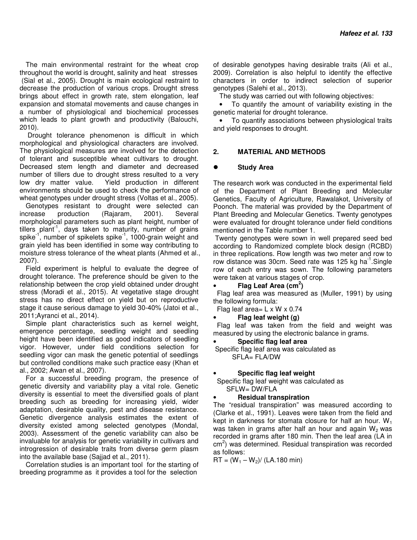The main environmental restraint for the wheat crop throughout the world is drought, salinity and heat stresses (Sial et al., 2005). Drought is main ecological restraint to decrease the production of various crops. Drought stress brings about effect in growth rate, stem elongation, leaf expansion and stomatal movements and cause changes in a number of physiological and biochemical processes which leads to plant growth and productivity (Balouchi, 2010).

 Drought tolerance phenomenon is difficult in which morphological and physiological characters are involved. The physiological measures are involved for the detection of tolerant and susceptible wheat cultivars to drought. Decreased stem length and diameter and decreased number of tillers due to drought stress resulted to a very low dry matter value. Yield production in different environments should be used to check the performance of wheat genotypes under drought stress (Voltas et al., 2005).

Genotypes resistant to drought were selected can increase production (Rajaram, 2001). Several morphological parameters such as plant height, number of  $t$ illers plant<sup>-1</sup>, days taken to maturity, number of grains spike<sup>-1</sup>, number of spikelets spike<sup>-1</sup>, 1000-grain weight and grain yield has been identified in some way contributing to moisture stress tolerance of the wheat plants (Ahmed et al., 2007).

Field experiment is helpful to evaluate the degree of drought tolerance. The preference should be given to the relationship between the crop yield obtained under drought stress (Moradi et al., 2015). At vegetative stage drought stress has no direct effect on yield but on reproductive stage it cause serious damage to yield 30-40% (Jatoi et al., 2011;Ayranci et al., 2014).

Simple plant characteristics such as kernel weight, emergence percentage, seedling weight and seedling height have been identified as good indicators of seedling vigor. However, under field conditions selection for seedling vigor can mask the genetic potential of seedlings but controlled conditions make such practice easy (Khan et al., 2002; Awan et al., 2007).

For a successful breeding program, the presence of genetic diversity and variability play a vital role. Genetic diversity is essential to meet the diversified goals of plant breeding such as breeding for increasing yield, wider adaptation, desirable quality, pest and disease resistance. Genetic divergence analysis estimates the extent of diversity existed among selected genotypes (Mondal, 2003). Assessment of the genetic variability can also be invaluable for analysis for genetic variability in cultivars and introgression of desirable traits from diverse germ plasm into the available base (Sajjad et al., 2011).

Correlation studies is an important tool for the starting of breeding programme as it provides a tool for the selection

of desirable genotypes having desirable traits (Ali et al., 2009). Correlation is also helpful to identify the effective characters in order to indirect selection of superior genotypes (Salehi et al., 2013).

The study was carried out with following objectives:

• To quantify the amount of variability existing in the genetic material for drought tolerance.

• To quantify associations between physiological traits and yield responses to drought.

## **2. MATERIAL AND METHODS**

#### **Study Area**

The research work was conducted in the experimental field of the Department of Plant Breeding and Molecular Genetics, Faculty of Agriculture, Rawalakot, University of Poonch. The material was provided by the Department of Plant Breeding and Molecular Genetics. Twenty genotypes were evaluated for drought tolerance under field conditions mentioned in the Table number 1.

 Twenty genotypes were sown in well prepared seed bed according to Randomized complete block design (RCBD) in three replications. Row length was two meter and row to row distance was 30cm. Seed rate was 125 kg ha<sup>-1</sup>.Single row of each entry was sown. The following parameters were taken at various stages of crop.

• **Flag Leaf Area (cm<sup>2</sup> )**

 Flag leaf area was measured as (Muller, 1991) by using the following formula:

Flag leaf area=  $L \times W \times 0.74$ 

#### • **Flag leaf weight (g)**

 Flag leaf was taken from the field and weight was measured by using the electronic balance in grams.

• **Specific flag leaf area** 

 Specific flag leaf area was calculated as SFLA= FLA/DW

#### • **Specific flag leaf weight**

 Specific flag leaf weight was calculated as SFLW= DW/FLA

#### • **Residual transpiration**

The "residual transpiration" was measured according to (Clarke et al., 1991). Leaves were taken from the field and kept in darkness for stomata closure for half an hour.  $W_1$ was taken in grams after half an hour and again  $W_2$  was recorded in grams after 180 min. Then the leaf area (LA in  $\text{cm}^2$ ) was determined. Residual transpiration was recorded as follows:

 $RT = (W_1 - W_2) / (LA.180 \text{ min})$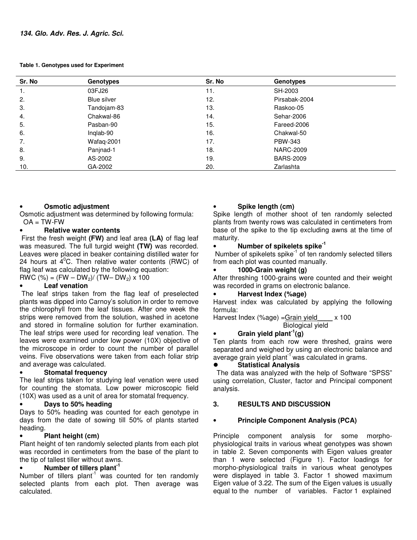**Table 1. Genotypes used for Experiment** 

| Sr. No | <b>Genotypes</b> | Sr. No | <b>Genotypes</b> |  |
|--------|------------------|--------|------------------|--|
| 1.     | 03FJ26           | 11.    | SH-2003          |  |
| 2.     | Blue silver      | 12.    | Pirsabak-2004    |  |
| 3.     | Tandojam-83      | 13.    | Raskoo-05        |  |
| 4.     | Chakwal-86       | 14.    | Sehar-2006       |  |
| 5.     | Pasban-90        | 15.    | Fareed-2006      |  |
| 6.     | Inglab-90        | 16.    | Chakwal-50       |  |
| 7.     | Wafaq-2001       | 17.    | PBW-343          |  |
| 8.     | Panjnad-1        | 18.    | <b>NARC-2009</b> |  |
| 9.     | AS-2002          | 19.    | <b>BARS-2009</b> |  |
| 10.    | GA-2002          | 20.    | Zarlashta        |  |

## • **Osmotic adjustment**

Osmotic adjustment was determined by following formula:  $OA = TW-FW$ 

## • **Relative water contents**

 First the fresh weight **(FW)** and leaf area **(LA)** of flag leaf was measured. The full turgid weight **(TW)** was recorded. Leaves were placed in beaker containing distilled water for 24 hours at  $4^{\circ}$ C. Then relative water contents (RWC) of flag leaf was calculated by the following equation:

RWC (%) =  $(FW - DW_2) / (TW - DW_2) \times 100$ 

# • **Leaf venation**

 The leaf strips taken from the flag leaf of preselected plants was dipped into Carnoy's solution in order to remove the chlorophyll from the leaf tissues. After one week the strips were removed from the solution, washed in acetone and stored in formaline solution for further examination. The leaf strips were used for recording leaf venation. The leaves were examined under low power (10X) objective of the microscope in order to count the number of parallel veins. Five observations were taken from each foliar strip and average was calculated.

## • **Stomatal frequency**

The leaf strips taken for studying leaf venation were used for counting the stomata. Low power microscopic field (10X) was used as a unit of area for stomatal frequency.

#### • **Days to 50% heading**

Days to 50% heading was counted for each genotype in days from the date of sowing till 50% of plants started heading.

#### • **Plant height (cm)**

Plant height of ten randomly selected plants from each plot was recorded in centimeters from the base of the plant to the tip of tallest tiller without awns.

## • **Number of tillers plant-1**

Number of tillers plant<sup>1</sup> was counted for ten randomly selected plants from each plot. Then average was calculated.

# • **Spike length (cm)**

Spike length of mother shoot of ten randomly selected plants from twenty rows was calculated in centimeters from base of the spike to the tip excluding awns at the time of maturity.

## • **Number of spikelets spike-1**

Number of spikelets spike $^{-1}$  of ten randomly selected tillers from each plot was counted manually.

#### • **1000-Grain weight (g)**

After threshing 1000-grains were counted and their weight was recorded in grams on electronic balance.

## • **Harvest Index (%age)**

Harvest index was calculated by applying the following formula:

Harvest Index (%age) = Grain yield x 100 Biological yield

# • **Grain yield plant-1(g)**

Ten plants from each row were threshed, grains were separated and weighed by using an electronic balance and average grain yield plant<sup>-1</sup> was calculated in grams.

## **Statistical Analysis**

The data was analyzed with the help of Software "SPSS" using correlation, Cluster, factor and Principal component analysis.

#### **3. RESULTS AND DISCUSSION**

# • **Principle Component Analysis (PCA)**

Principle component analysis for some morphophysiological traits in various wheat genotypes was shown in table 2. Seven components with Eigen values greater than 1 were selected (Figure 1). Factor loadings for morpho-physiological traits in various wheat genotypes were displayed in table 3. Factor 1 showed maximum Eigen value of 3.22. The sum of the Eigen values is usually equal to the number of variables. Factor 1 explained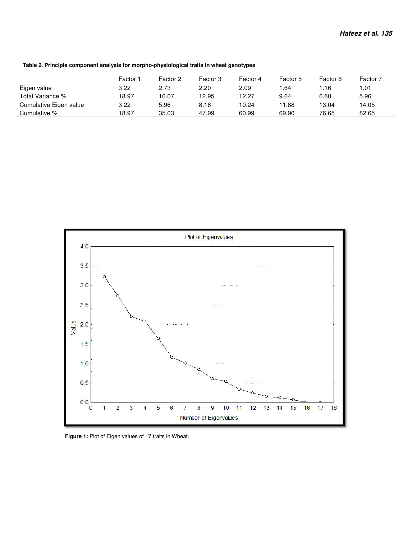**Table 2. Principle component analysis for morpho-physiological traits in wheat genotypes**

|                        | Factor <sup>-</sup> | Factor 2 | Factor 3 | Factor 4 | Factor 5 | Factor 6 | Factor 7 |
|------------------------|---------------------|----------|----------|----------|----------|----------|----------|
| Eigen value            | 3.22                | 2.73     | 2.20     | 2.09     | .64      | l.16     | 1.01.    |
| Total Variance %       | 18.97               | 16.07    | 12.95    | 12.27    | 9.64     | 6.80     | 5.96     |
| Cumulative Eigen value | 3.22                | 5.96     | 8.16     | 10.24    | 11.88    | 13.04    | 14.05    |
| Cumulative %           | 18.97               | 35.03    | 47.99    | 60.99    | 69.90    | 76.65    | 82.65    |



Figure 1: Plot of Eigen values of 17 traits in Wheat.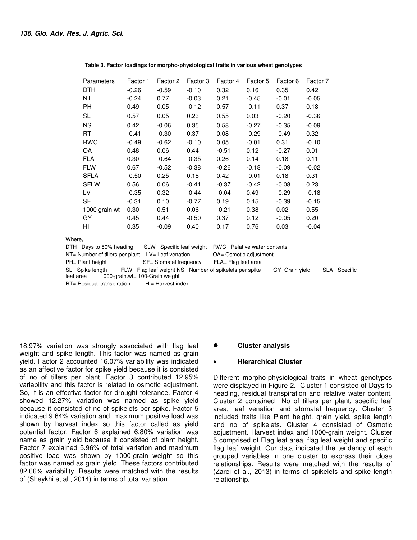| Parameters    | Factor 1 | Factor 2 | Factor 3 | Factor 4 | Factor 5 | Factor 6 | Factor 7 |
|---------------|----------|----------|----------|----------|----------|----------|----------|
| <b>DTH</b>    | $-0.26$  | $-0.59$  | $-0.10$  | 0.32     | 0.16     | 0.35     | 0.42     |
| <b>NT</b>     | $-0.24$  | 0.77     | $-0.03$  | 0.21     | $-0.45$  | $-0.01$  | $-0.05$  |
| PH.           | 0.49     | 0.05     | $-0.12$  | 0.57     | $-0.11$  | 0.37     | 0.18     |
| SL            | 0.57     | 0.05     | 0.23     | 0.55     | 0.03     | $-0.20$  | $-0.36$  |
| <b>NS</b>     | 0.42     | $-0.06$  | 0.35     | 0.58     | $-0.27$  | $-0.35$  | $-0.09$  |
| RT            | $-0.41$  | $-0.30$  | 0.37     | 0.08     | $-0.29$  | $-0.49$  | 0.32     |
| RWC           | $-0.49$  | $-0.62$  | $-0.10$  | 0.05     | $-0.01$  | 0.31     | $-0.10$  |
| OA            | 0.48     | 0.06     | 0.44     | $-0.51$  | 0.12     | $-0.27$  | 0.01     |
| <b>FLA</b>    | 0.30     | $-0.64$  | $-0.35$  | 0.26     | 0.14     | 0.18     | 0.11     |
| <b>FLW</b>    | 0.67     | $-0.52$  | $-0.38$  | $-0.26$  | $-0.18$  | $-0.09$  | $-0.02$  |
| <b>SFLA</b>   | $-0.50$  | 0.25     | 0.18     | 0.42     | $-0.01$  | 0.18     | 0.31     |
| <b>SFLW</b>   | 0.56     | 0.06     | $-0.41$  | $-0.37$  | $-0.42$  | $-0.08$  | 0.23     |
| LV            | $-0.35$  | 0.32     | $-0.44$  | $-0.04$  | 0.49     | $-0.29$  | $-0.18$  |
| SF            | $-0.31$  | 0.10     | $-0.77$  | 0.19     | 0.15     | $-0.39$  | $-0.15$  |
| 1000 grain.wt | 0.30     | 0.51     | 0.06     | $-0.21$  | 0.38     | 0.02     | 0.55     |
| GY            | 0.45     | 0.44     | $-0.50$  | 0.37     | 0.12     | $-0.05$  | 0.20     |
| HI            | 0.35     | $-0.09$  | 0.40     | 0.17     | 0.76     | 0.03     | $-0.04$  |

 **Table 3. Factor loadings for morpho-physiological traits in various wheat genotypes** 

Where,

DTH= Days to 50% heading SLW= Specific leaf weight RWC= Relative water contents NT= Number of tillers per plant LV= Leaf venation OA= Osmotic adjustment PH= Plant height SF= Stomatal frequency FLA= Flag leaf area SL= Spike length FLW= Flag leaf weight NS= Number of spikelets per spike GY=Grain yield SLA= Specific leaf area 1000-grain.wt= 100-Grain weight

RT= Residual transpiration HI= Harvest index

18.97% variation was strongly associated with flag leaf weight and spike length. This factor was named as grain yield. Factor 2 accounted 16.07% variability was indicated as an affective factor for spike yield because it is consisted of no of tillers per plant. Factor 3 contributed 12.95% variability and this factor is related to osmotic adjustment. So, it is an effective factor for drought tolerance. Factor 4 showed 12.27% variation was named as spike yield because it consisted of no of spikelets per spike. Factor 5 indicated 9.64% variation and maximum positive load was shown by harvest index so this factor called as yield potential factor. Factor 6 explained 6.80% variation was name as grain yield because it consisted of plant height. Factor 7 explained 5.96% of total variation and maximum positive load was shown by 1000-grain weight so this factor was named as grain yield. These factors contributed 82.66% variability. Results were matched with the results of (Sheykhi et al., 2014) in terms of total variation.

#### **Cluster analysis**

#### • **Hierarchical Cluster**

Different morpho-physiological traits in wheat genotypes were displayed in Figure 2. Cluster 1 consisted of Days to heading, residual transpiration and relative water content. Cluster 2 contained No of tillers per plant, specific leaf area, leaf venation and stomatal frequency. Cluster 3 included traits like Plant height, grain yield, spike length and no of spikelets. Cluster 4 consisted of Osmotic adjustment. Harvest index and 1000-grain weight. Cluster 5 comprised of Flag leaf area, flag leaf weight and specific flag leaf weight. Our data indicated the tendency of each grouped variables in one cluster to express their close relationships. Results were matched with the results of (Zarei et al., 2013) in terms of spikelets and spike length relationship.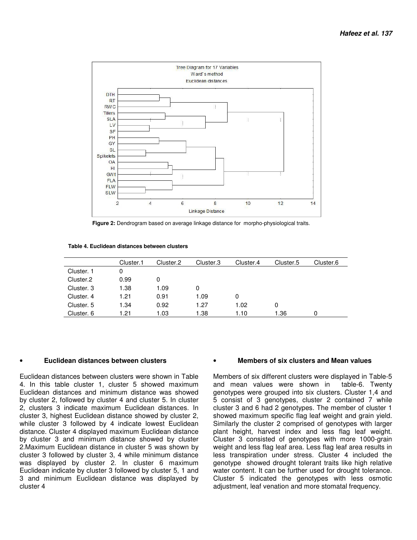

 **Figure 2:** Dendrogram based on average linkage distance for morpho-physiological traits.

 **Table 4. Euclidean distances between clusters** 

|            | Cluster.1 | Cluster.2 | Cluster.3 | Cluster.4 | Cluster.5 | Cluster.6 |
|------------|-----------|-----------|-----------|-----------|-----------|-----------|
| Cluster. 1 |           |           |           |           |           |           |
| Cluster.2  | 0.99      |           |           |           |           |           |
| Cluster. 3 | 1.38      | 1.09      | 0         |           |           |           |
| Cluster. 4 | 1.21      | 0.91      | 1.09      | 0         |           |           |
| Cluster. 5 | 1.34      | 0.92      | 1.27      | 1.02      | 0         |           |
| Cluster. 6 | 1.21      | 1.03      | 1.38      | 1.10      | 1.36      |           |

#### • **Euclidean distances between clusters**

Euclidean distances between clusters were shown in Table 4. In this table cluster 1, cluster 5 showed maximum Euclidean distances and minimum distance was showed by cluster 2, followed by cluster 4 and cluster 5. In cluster 2, clusters 3 indicate maximum Euclidean distances. In cluster 3, highest Euclidean distance showed by cluster 2, while cluster 3 followed by 4 indicate lowest Euclidean distance. Cluster 4 displayed maximum Euclidean distance by cluster 3 and minimum distance showed by cluster 2.Maximum Euclidean distance in cluster 5 was shown by cluster 3 followed by cluster 3, 4 while minimum distance was displayed by cluster 2. In cluster 6 maximum Euclidean indicate by cluster 3 followed by cluster 5, 1 and 3 and minimum Euclidean distance was displayed by cluster 4

#### • **Members of six clusters and Mean values**

Members of six different clusters were displayed in Table-5 and mean values were shown in table-6. Twenty genotypes were grouped into six clusters. Cluster 1,4 and 5 consist of 3 genotypes, cluster 2 contained 7 while cluster 3 and 6 had 2 genotypes. The member of cluster 1 showed maximum specific flag leaf weight and grain yield. Similarly the cluster 2 comprised of genotypes with larger plant height, harvest index and less flag leaf weight. Cluster 3 consisted of genotypes with more 1000-grain weight and less flag leaf area. Less flag leaf area results in less transpiration under stress. Cluster 4 included the genotype showed drought tolerant traits like high relative water content. It can be further used for drought tolerance. Cluster 5 indicated the genotypes with less osmotic adjustment, leaf venation and more stomatal frequency.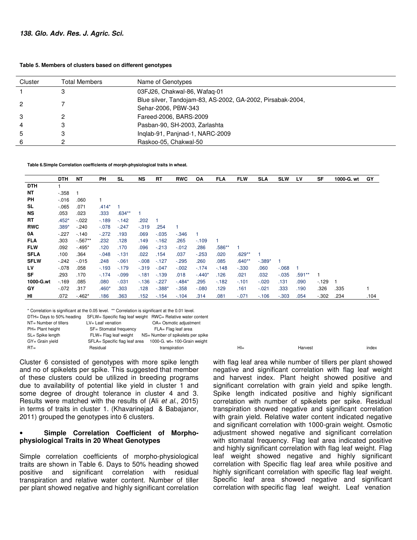| Table 5. Members of clusters based on different genotypes |
|-----------------------------------------------------------|
|-----------------------------------------------------------|

| Cluster        | <b>Total Members</b> | Name of Genotypes                                                                 |
|----------------|----------------------|-----------------------------------------------------------------------------------|
|                |                      | 03FJ26, Chakwal-86, Wafaq-01                                                      |
| 2              |                      | Blue silver, Tandojam-83, AS-2002, GA-2002, Pirsabak-2004,<br>Sehar-2006, PBW-343 |
| 3              |                      | Fareed-2006, BARS-2009                                                            |
| $\overline{4}$ |                      | Pasban-90, SH-2003, Zarlashta                                                     |
| 5              |                      | Inglab-91, Panjnad-1, NARC-2009                                                   |
| 6              |                      | Raskoo-05, Chakwal-50                                                             |

**Table 6.Simple Correlation coefficients of morph-physiological traits in wheat.** 

|             | <b>DTH</b> | <b>NT</b>  | PH      | SL       | NS       | <b>RT</b> | <b>RWC</b> | OA       | <b>FLA</b> | <b>FLW</b> | <b>SLA</b> | <b>SLW</b> | LV       | <b>SF</b> | 1000-G. wt | GY   |
|-------------|------------|------------|---------|----------|----------|-----------|------------|----------|------------|------------|------------|------------|----------|-----------|------------|------|
| <b>DTH</b>  |            |            |         |          |          |           |            |          |            |            |            |            |          |           |            |      |
| NΤ          | $-0.358$   |            |         |          |          |           |            |          |            |            |            |            |          |           |            |      |
| PH          | $-0.016$   | .060       |         |          |          |           |            |          |            |            |            |            |          |           |            |      |
| SL          | $-065$     | .071       | $.414*$ |          |          |           |            |          |            |            |            |            |          |           |            |      |
| <b>NS</b>   | .053       | .023       | .333    | $.634**$ | 1        |           |            |          |            |            |            |            |          |           |            |      |
| RT          | $.452*$    | $-022$     | $-189$  | $-142$   | .202     |           |            |          |            |            |            |            |          |           |            |      |
| <b>RWC</b>  | $.389*$    | $-240$     | $-.078$ | $-247$   | $-.319$  | .254      |            |          |            |            |            |            |          |           |            |      |
| 0A          | $-227$     | $-140$     | $-272$  | .193     | .069     | $-0.035$  | $-0.346$   | 1        |            |            |            |            |          |           |            |      |
| <b>FLA</b>  | .303       | $-0.567**$ | .232    | .128     | .149     | $-162$    | .265       | $-109$   |            |            |            |            |          |           |            |      |
| <b>FLW</b>  | .092       | $-495*$    | .120    | .170     | .096     | $-213$    | $-0.012$   | .286     | .586**     |            |            |            |          |           |            |      |
| <b>SFLA</b> | .100       | .364       | $-.048$ | $-131$   | .022     | .154      | .037       | $-253$   | .020       | $.629**$   |            |            |          |           |            |      |
| <b>SFLW</b> | $-242$     | $-0.15$    | .248    | $-061$   | $-0.008$ | $-127$    | $-295$     | .260     | .085       | $.640**$   | $-.389*$   |            |          |           |            |      |
| LV          | $-0.078$   | .058       | $-193$  | $-179$   | $-.319$  | $-.047$   | $-0.002$   | $-174$   | $-148$     | $-.330$    | .060       | $-068$     |          |           |            |      |
| <b>SF</b>   | .293       | .170       | $-174$  | $-.099$  | $-181$   | $-139$    | .018       | $-.440*$ | .126       | .021       | .032       | $-.035$    | $.591**$ | 1         |            |      |
| 1000-G.wt   | $-169$     | .085       | .080    | $-0.031$ | $-136$   | $-227$    | $-.484*$   | .295     | $-182$     | $-101$     | $-.020$    | .131       | .090     | $-129$    |            |      |
| GY          | $-072$     | .317       | $.460*$ | .303     | .128     | $-0.388*$ | $-0.358$   | $-080$   | .129       | .161       | $-.021$    | .333       | .190     | .326      | .335       |      |
| HI          | .072       | $-462*$    | .186    | .363     | .152     | $-154$    | $-104$     | .314     | .081       | $-0.071$   | $-106$     | $-.303$    | .054     | $-0.302$  | .234       | .104 |

\* Correlation is significant at the 0.05 level. \*\* Correlation is significant at the 0.01 level.

| DTH= Days to 50% heading | SFLW= Specific flag leaf weight RWC= Relative water content |                                   |       |         |       |
|--------------------------|-------------------------------------------------------------|-----------------------------------|-------|---------|-------|
| NT= Number of tillers    | LV= Leaf venation                                           | OA= Osmotic adjustment            |       |         |       |
| PH= Plant height         | SF= Stomatal frequency                                      | FLA= Flag leaf area               |       |         |       |
| SL= Spike length         | FLW= Flag leaf weight                                       | NS= Number of spikelets per spike |       |         |       |
| GY= Grain vield          | SFLA= Specific flag leaf area                               | 1000-G. wt= 100-Grain weight      |       |         |       |
| $RT =$                   | Residual                                                    | transpiration                     | $H =$ | Harvest | index |

Cluster 6 consisted of genotypes with more spike length and no of spikelets per spike. This suggested that member of these clusters could be utilized in breeding programs due to availability of potential like yield in cluster 1 and some degree of drought tolerance in cluster 4 and 3. Results were matched with the results of (Ali et al., 2015) in terms of traits in cluster 1. (Khavarinejad & Babajanor, 2011) grouped the genotypes into 6 clusters.

## • **Simple Correlation Coefficient of Morphophysiological Traits in 20 Wheat Genotypes**

Simple correlation coefficients of morpho-physiological traits are shown in Table 6. Days to 50% heading showed positive and significant correlation with residual transpiration and relative water content. Number of tiller per plant showed negative and highly significant correlation

with flag leaf area while number of tillers per plant showed negative and significant correlation with flag leaf weight and harvest index. Plant height showed positive and significant correlation with grain yield and spike length. Spike length indicated positive and highly significant correlation with number of spikelets per spike. Residual transpiration showed negative and significant correlation with grain yield. Relative water content indicated negative and significant correlation with 1000-grain weight. Osmotic adjustment showed negative and significant correlation with stomatal frequency. Flag leaf area indicated positive and highly significant correlation with flag leaf weight. Flag leaf weight showed negative and highly significant correlation with Specific flag leaf area while positive and highly significant correlation with specific flag leaf weight. Specific leaf area showed negative and significant correlation with specific flag leaf weight. Leaf venation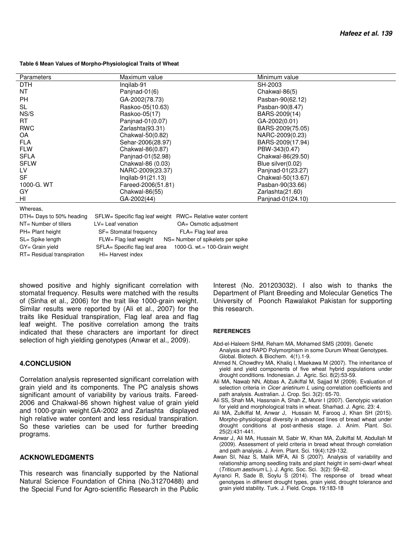#### **Table 6 Mean Values of Morpho-Physiological Traits of Wheat**

| <b>Parameters</b> | Maximum value      | Minimum value     |  |
|-------------------|--------------------|-------------------|--|
|                   |                    |                   |  |
| DTH               | Ingilab-91         | SH-2003           |  |
| NT                | Panjnad-01 $(6)$   | Chakwal-86(5)     |  |
| <b>PH</b>         | GA-2002(78.73)     | Pasban-90(62.12)  |  |
| <b>SL</b>         | Raskoo-05(10.63)   | Pasban-90(8.47)   |  |
| NS/S              | Raskoo-05(17)      | BARS-2009(14)     |  |
| RT.               | Panjnad-01(0.07)   | GA-2002(0.01)     |  |
| <b>RWC</b>        | Zarlashta(93.31)   | BARS-2009(75.05)  |  |
| OA                | Chakwal-50(0.82)   | NARC-2009(0.23)   |  |
| <b>FLA</b>        | Sehar-2006(28.97)  | BARS-2009(17.94)  |  |
| <b>FLW</b>        | Chakwal-86(0.87)   | PBW-343(0.47)     |  |
| <b>SFLA</b>       | Panjnad-01(52.98)  | Chakwal-86(29.50) |  |
| <b>SFLW</b>       | Chakwal-86 (0.03)  | Blue silver(0.02) |  |
| LV.               | NARC-2009(23.37)   | Panjnad-01(23.27) |  |
| <b>SF</b>         | Inqilab-91(21.13)  | Chakwal-50(13.67) |  |
| 1000-G. WT        | Fareed-2006(51.81) | Pasban-90(33.66)  |  |
| GY                | Chakwal-86(55)     | Zarlashta(21.60)  |  |
| HI                | GA-2002(44)        | Panjnad-01(24.10) |  |
| Mh                |                    |                   |  |

Whereas,

| SFLW= Specific flag leaf weight RWC= Relative water content |                                   |
|-------------------------------------------------------------|-----------------------------------|
| LV= Leaf venation                                           | OA= Osmotic adjustment            |
| SF= Stomatal frequency                                      | FLA= Flag leaf area               |
| FLW= Flag leaf weight                                       | NS= Number of spikelets per spike |
| SFLA= Specific flag leaf area                               | 1000-G. wt.= 100-Grain weight     |
| HI= Harvest index                                           |                                   |
|                                                             |                                   |

showed positive and highly significant correlation with stomatal frequency. Results were matched with the results of (Sinha et al., 2006) for the trait like 1000-grain weight. Similar results were reported by (Ali et al., 2007) for the traits like Residual transpiration, Flag leaf area and flag leaf weight. The positive correlation among the traits indicated that these characters are important for direct selection of high yielding genotypes (Anwar et al., 2009).

#### **4.CONCLUSION**

Correlation analysis represented significant correlation with grain yield and its components. The PC analysis shows significant amount of variability by various traits. Fareed-2006 and Chakwal-86 shown highest value of grain yield and 1000-grain weight.GA-2002 and Zarlashta displayed high relative water content and less residual transpiration. So these varieties can be used for further breeding programs.

#### **ACKNOWLEDGMENTS**

This research was financially supported by the National Natural Science Foundation of China (No.31270488) and the Special Fund for Agro-scientific Research in the Public Interest (No. 201203032). I also wish to thanks the Department of Plant Breeding and Molecular Genetics The University of Poonch Rawalakot Pakistan for supporting this research.

#### **REFERENCES**

- Abd-el-Haleem SHM, Reham MA, Mohamed SMS (2009). Genetic Analysis and RAPD Polymorphism in some Durum Wheat Genotypes. Global. Biotech. & Biochem. 4(1).1-9.
- Ahmed N, Chowdhry MA, Khaliq I, Maekawa M (2007). The inheritance of yield and yield components of five wheat hybrid populations under drought conditions. Indonesian. J. Agric. Sci. 8(2):53-59.
- Ali MA, Nawab NN, Abbas A, Zulkiffal M, Sajjad M (2009). Evaluation of selection criteria in Cicer arietinum L using correlation coefficients and path analysis. Australian. J. Crop. Sci. 3(2): 65-70.
- Ali SS, Shah MA, Hassnain A, Shah Z, Munir I (2007). Genotypic variation for yield and morphological traits in wheat. Sharhad. J. Agric. 23: 4.
- Ali MA, Zulkiffal M, Anwar J, Hussain M, Farooq J, Khan SH (2015). Morpho-physiological diversity in advanced lines of bread wheat under drought conditions at post-anthesis stage. J. Anim. Plant. Sci. 25(2):431-441.
- Anwar J, Ali MA, Hussain M, Sabir W, Khan MA, Zulkiffal M, Abdullah M (2009). Assessment of yield criteria in bread wheat through correlation and path analysis. J. Anim. Plant. Sci. 19(4):129-132.
- Awan SI, Niaz S, Malik MFA, Ali S (2007). Analysis of variability and relationship among seedling traits and plant height in semi-dwarf wheat (Triticum aestivum L.). J. Agric. Soc. Sci. 3(2): 59–62.
- Ayranci R, Sade B, Soylu S (2014). The response of bread wheat genotypes in different drought types, grain yield, drought tolerance and grain yield stability. Turk. J. Field. Crops. 19:183-18